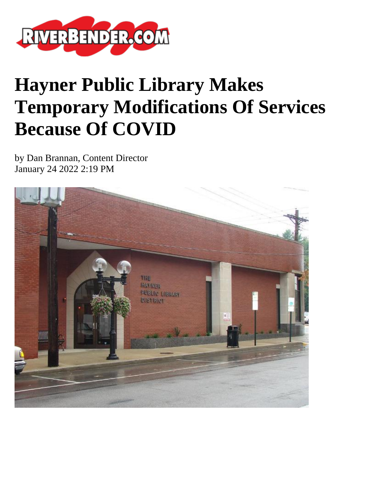

## **Hayner Public Library Makes Temporary Modifications Of Services Because Of COVID**

by Dan Brannan, Content Director January 24 2022 2:19 PM